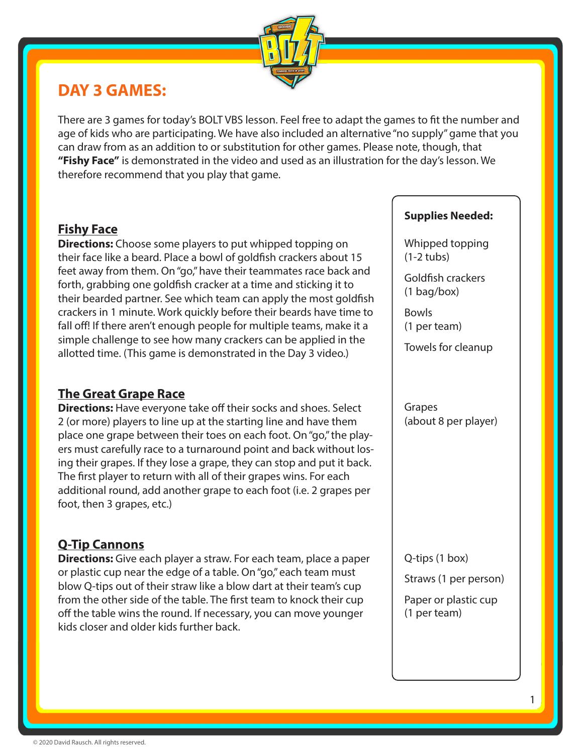

# **DAY 3 GAMES:**

There are 3 games for today's BOLT VBS lesson. Feel free to adapt the games to fit the number and age of kids who are participating. We have also included an alternative "no supply" game that you can draw from as an addition to or substitution for other games. Please note, though, that **"Fishy Face"** is demonstrated in the video and used as an illustration for the day's lesson. We therefore recommend that you play that game.

## **Fishy Face**

**Directions:** Choose some players to put whipped topping on their face like a beard. Place a bowl of goldfish crackers about 15 feet away from them. On "go," have their teammates race back and forth, grabbing one goldfish cracker at a time and sticking it to their bearded partner. See which team can apply the most goldfish crackers in 1 minute. Work quickly before their beards have time to fall off! If there aren't enough people for multiple teams, make it a simple challenge to see how many crackers can be applied in the allotted time. (This game is demonstrated in the Day 3 video.)

### **The Great Grape Race**

**Directions:** Have everyone take off their socks and shoes. Select 2 (or more) players to line up at the starting line and have them place one grape between their toes on each foot. On "go," the players must carefully race to a turnaround point and back without losing their grapes. If they lose a grape, they can stop and put it back. The first player to return with all of their grapes wins. For each additional round, add another grape to each foot (i.e. 2 grapes per foot, then 3 grapes, etc.)

## **Q-Tip Cannons**

**Directions:** Give each player a straw. For each team, place a paper or plastic cup near the edge of a table. On "go," each team must blow Q-tips out of their straw like a blow dart at their team's cup from the other side of the table. The first team to knock their cup off the table wins the round. If necessary, you can move younger kids closer and older kids further back.

#### **Supplies Needed:**

Whipped topping (1-2 tubs)

Goldfish crackers (1 bag/box)

Bowls (1 per team)

Towels for cleanup

Grapes (about 8 per player)

Q-tips (1 box)

Straws (1 per person)

Paper or plastic cup (1 per team)